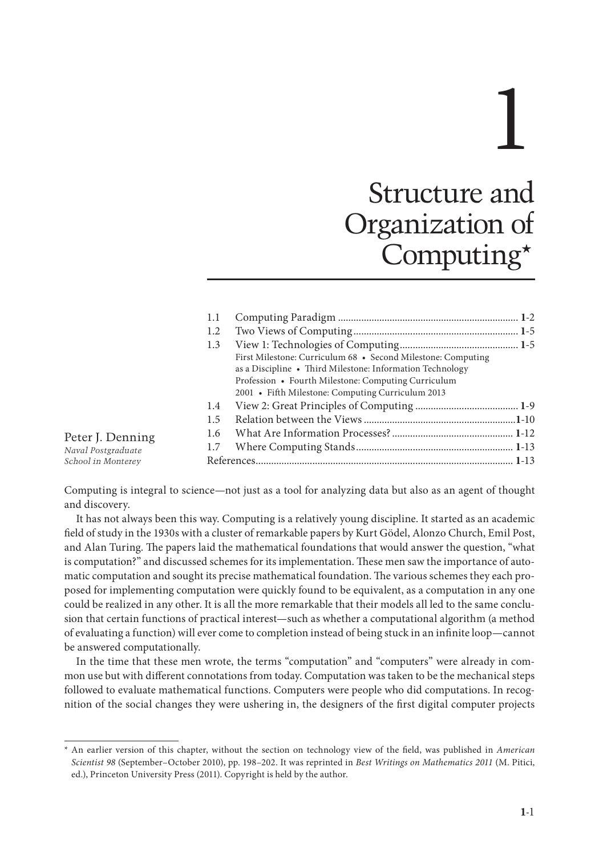# 1 Structure and Organization of Computing\*

| 1.1 |                                                              |  |
|-----|--------------------------------------------------------------|--|
| 1.2 |                                                              |  |
| 1.3 |                                                              |  |
|     | First Milestone: Curriculum 68 • Second Milestone: Computing |  |
|     | as a Discipline • Third Milestone: Information Technology    |  |
|     | Profession • Fourth Milestone: Computing Curriculum          |  |
|     | 2001 • Fifth Milestone: Computing Curriculum 2013            |  |
| 1.4 |                                                              |  |
| 1.5 |                                                              |  |
| 1.6 |                                                              |  |
| 1.7 |                                                              |  |
|     |                                                              |  |
|     |                                                              |  |

Peter J. Denning *Naval Postgraduate School in Monterey*

Computing is integral to science—not just as a tool for analyzing data but also as an agent of thought and discovery.

It has not always been this way. Computing is a relatively young discipline. It started as an academic field of study in the 1930s with a cluster of remarkable papers by Kurt Gödel, Alonzo Church, Emil Post, and Alan Turing. The papers laid the mathematical foundations that would answer the question, "what is computation?" and discussed schemes for its implementation. These men saw the importance of automatic computation and sought its precise mathematical foundation. The various schemes they each proposed for implementing computation were quickly found to be equivalent, as a computation in any one could be realized in any other. It is all the more remarkable that their models all led to the same conclusion that certain functions of practical interest—such as whether a computational algorithm (a method of evaluating a function) will ever come to completion instead of being stuck in an infinite loop—cannot be answered computationally.

In the time that these men wrote, the terms "computation" and "computers" were already in common use but with different connotations from today. Computation was taken to be the mechanical steps followed to evaluate mathematical functions. Computers were people who did computations. In recognition of the social changes they were ushering in, the designers of the first digital computer projects

<sup>\*</sup> An earlier version of this chapter, without the section on technology view of the field, was published in *American Scientist 98* (September–October 2010), pp. 198–202. It was reprinted in *Best Writings on Mathematics 2011* (M. Pitici, ed.), Princeton University Press (2011). Copyright is held by the author.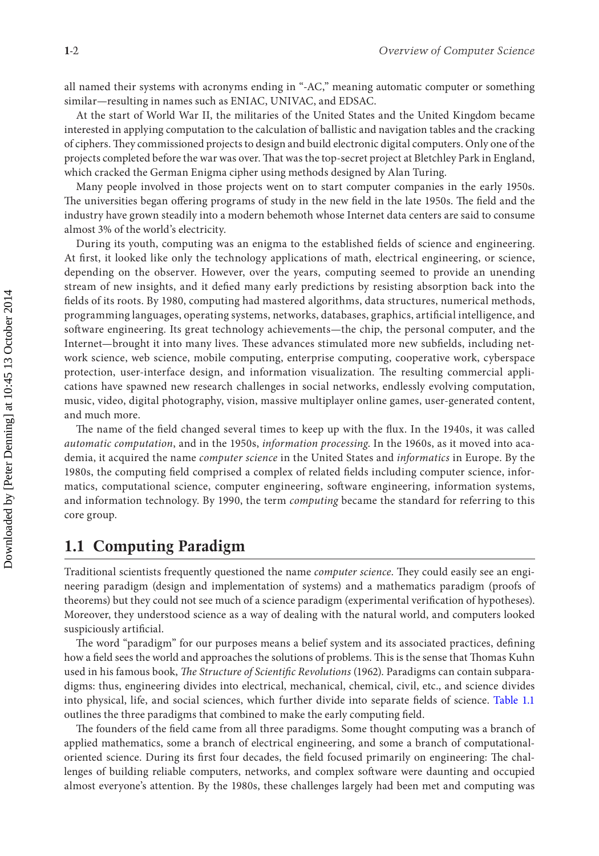all named their systems with acronyms ending in "-AC," meaning automatic computer or something similar—resulting in names such as ENIAC, UNIVAC, and EDSAC.

At the start of World War II, the militaries of the United States and the United Kingdom became interested in applying computation to the calculation of ballistic and navigation tables and the cracking of ciphers. They commissioned projects to design and build electronic digital computers. Only one of the projects completed before the war was over. That was the top-secret project at Bletchley Park in England, which cracked the German Enigma cipher using methods designed by Alan Turing.

Many people involved in those projects went on to start computer companies in the early 1950s. The universities began offering programs of study in the new field in the late 1950s. The field and the industry have grown steadily into a modern behemoth whose Internet data centers are said to consume almost 3% of the world's electricity.

During its youth, computing was an enigma to the established fields of science and engineering. At first, it looked like only the technology applications of math, electrical engineering, or science, depending on the observer. However, over the years, computing seemed to provide an unending stream of new insights, and it defied many early predictions by resisting absorption back into the fields of its roots. By 1980, computing had mastered algorithms, data structures, numerical methods, programming languages, operating systems, networks, databases, graphics, artificial intelligence, and software engineering. Its great technology achievements—the chip, the personal computer, and the Internet—brought it into many lives. These advances stimulated more new subfields, including network science, web science, mobile computing, enterprise computing, cooperative work, cyberspace protection, user-interface design, and information visualization. The resulting commercial applications have spawned new research challenges in social networks, endlessly evolving computation, music, video, digital photography, vision, massive multiplayer online games, user-generated content, and much more.

The name of the field changed several times to keep up with the flux. In the 1940s, it was called *automatic computation*, and in the 1950s, *information processing*. In the 1960s, as it moved into academia, it acquired the name *computer science* in the United States and *informatics* in Europe. By the 1980s, the computing field comprised a complex of related fields including computer science, informatics, computational science, computer engineering, software engineering, information systems, and information technology. By 1990, the term *computing* became the standard for referring to this core group.

## **1.1 Computing Paradigm**

Traditional scientists frequently questioned the name *computer science*. They could easily see an engineering paradigm (design and implementation of systems) and a mathematics paradigm (proofs of theorems) but they could not see much of a science paradigm (experimental verification of hypotheses). Moreover, they understood science as a way of dealing with the natural world, and computers looked suspiciously artificial.

The word "paradigm" for our purposes means a belief system and its associated practices, defining how a field sees the world and approaches the solutions of problems. This is the sense that Thomas Kuhn used in his famous book, *The Structure of Scientific Revolutions* (1962). Paradigms can contain subparadigms: thus, engineering divides into electrical, mechanical, chemical, civil, etc., and science divides into physical, life, and social sciences, which further divide into separate fields of science. [Table 1.1](#page-2-0)  outlines the three paradigms that combined to make the early computing field.

The founders of the field came from all three paradigms. Some thought computing was a branch of applied mathematics, some a branch of electrical engineering, and some a branch of computationaloriented science. During its first four decades, the field focused primarily on engineering: The challenges of building reliable computers, networks, and complex software were daunting and occupied almost everyone's attention. By the 1980s, these challenges largely had been met and computing was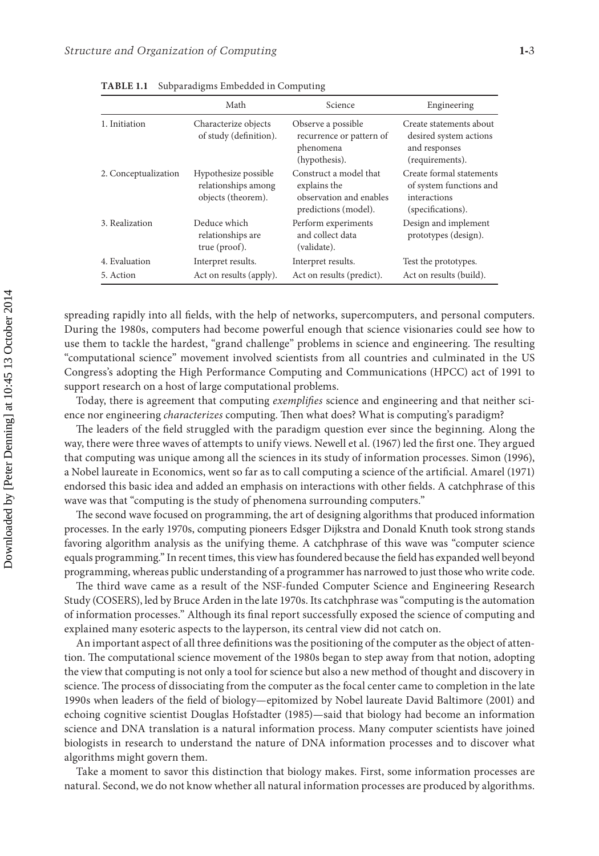|                      | Math                                                              | Science                                                                                   | Engineering                                                                              |
|----------------------|-------------------------------------------------------------------|-------------------------------------------------------------------------------------------|------------------------------------------------------------------------------------------|
| 1. Initiation        | Characterize objects<br>of study (definition).                    | Observe a possible<br>recurrence or pattern of<br>phenomena<br>(hypothesis).              | Create statements about<br>desired system actions<br>and responses<br>(requirements).    |
| 2. Conceptualization | Hypothesize possible<br>relationships among<br>objects (theorem). | Construct a model that<br>explains the<br>observation and enables<br>predictions (model). | Create formal statements<br>of system functions and<br>interactions<br>(specifications). |
| 3. Realization       | Deduce which<br>relationships are<br>true (proof).                | Perform experiments<br>and collect data<br>(validate).                                    | Design and implement<br>prototypes (design).                                             |
| 4. Evaluation        | Interpret results.                                                | Interpret results.                                                                        | Test the prototypes.                                                                     |
| 5. Action            | Act on results (apply).                                           | Act on results (predict).                                                                 | Act on results (build).                                                                  |

<span id="page-2-0"></span>**TABLE 1.1** Subparadigms Embedded in Computing

spreading rapidly into all fields, with the help of networks, supercomputers, and personal computers. During the 1980s, computers had become powerful enough that science visionaries could see how to use them to tackle the hardest, "grand challenge" problems in science and engineering. The resulting "computational science" movement involved scientists from all countries and culminated in the US Congress's adopting the High Performance Computing and Communications (HPCC) act of 1991 to support research on a host of large computational problems.

Today, there is agreement that computing *exemplifies* science and engineering and that neither science nor engineering *characterizes* computing. Then what does? What is computing's paradigm?

The leaders of the field struggled with the paradigm question ever since the beginning. Along the way, there were three waves of attempts to unify views. Newell et al. (1967) led the first one. They argued that computing was unique among all the sciences in its study of information processes. Simon (1996), a Nobel laureate in Economics, went so far as to call computing a science of the artificial. Amarel (1971) endorsed this basic idea and added an emphasis on interactions with other fields. A catchphrase of this wave was that "computing is the study of phenomena surrounding computers."

The second wave focused on programming, the art of designing algorithms that produced information processes. In the early 1970s, computing pioneers Edsger Dijkstra and Donald Knuth took strong stands favoring algorithm analysis as the unifying theme. A catchphrase of this wave was "computer science equals programming." In recent times, this view has foundered because the field has expanded well beyond programming, whereas public understanding of a programmer has narrowed to just those who write code.

The third wave came as a result of the NSF-funded Computer Science and Engineering Research Study (COSERS), led by Bruce Arden in the late 1970s. Its catchphrase was "computing is the automation of information processes." Although its final report successfully exposed the science of computing and explained many esoteric aspects to the layperson, its central view did not catch on.

An important aspect of all three definitions was the positioning of the computer as the object of attention. The computational science movement of the 1980s began to step away from that notion, adopting the view that computing is not only a tool for science but also a new method of thought and discovery in science. The process of dissociating from the computer as the focal center came to completion in the late 1990s when leaders of the field of biology—epitomized by Nobel laureate David Baltimore (2001) and echoing cognitive scientist Douglas Hofstadter (1985)—said that biology had become an information science and DNA translation is a natural information process. Many computer scientists have joined biologists in research to understand the nature of DNA information processes and to discover what algorithms might govern them.

Take a moment to savor this distinction that biology makes. First, some information processes are natural. Second, we do not know whether all natural information processes are produced by algorithms.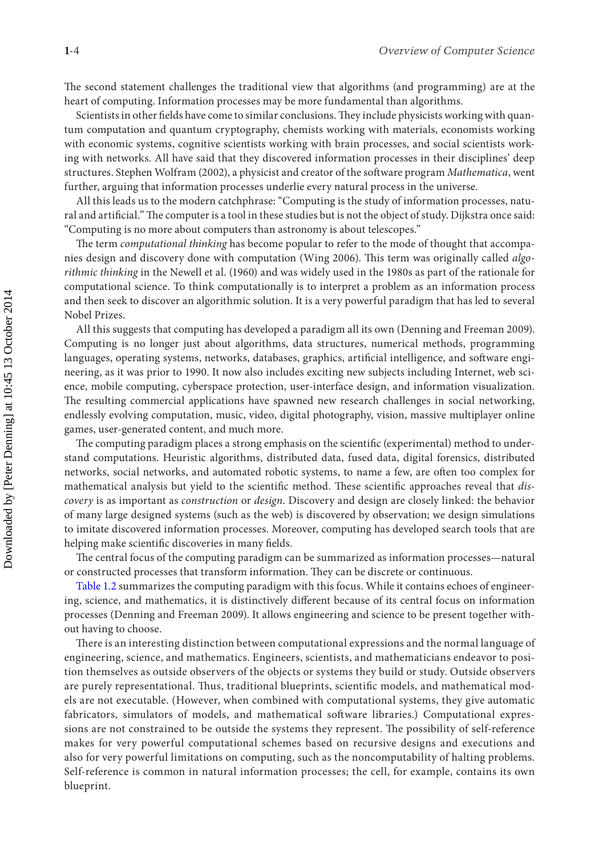The second statement challenges the traditional view that algorithms (and programming) are at the heart of computing. Information processes may be more fundamental than algorithms.

Scientists in other fields have come to similar conclusions. They include physicists working with quantum computation and quantum cryptography, chemists working with materials, economists working with economic systems, cognitive scientists working with brain processes, and social scientists working with networks. All have said that they discovered information processes in their disciplines' deep structures. Stephen Wolfram (2002), a physicist and creator of the software program *Mathematica*, went further, arguing that information processes underlie every natural process in the universe.

All this leads us to the modern catchphrase: "Computing is the study of information processes, natural and artificial." The computer is a tool in these studies but is not the object of study. Dijkstra once said: "Computing is no more about computers than astronomy is about telescopes."

The term *computational thinking* has become popular to refer to the mode of thought that accompanies design and discovery done with computation (Wing 2006). This term was originally called *algorithmic thinking* in the Newell et al. (1960) and was widely used in the 1980s as part of the rationale for computational science. To think computationally is to interpret a problem as an information process and then seek to discover an algorithmic solution. It is a very powerful paradigm that has led to several Nobel Prizes.

All this suggests that computing has developed a paradigm all its own (Denning and Freeman 2009). Computing is no longer just about algorithms, data structures, numerical methods, programming languages, operating systems, networks, databases, graphics, artificial intelligence, and software engineering, as it was prior to 1990. It now also includes exciting new subjects including Internet, web science, mobile computing, cyberspace protection, user-interface design, and information visualization. The resulting commercial applications have spawned new research challenges in social networking, endlessly evolving computation, music, video, digital photography, vision, massive multiplayer online games, user-generated content, and much more.

The computing paradigm places a strong emphasis on the scientific (experimental) method to understand computations. Heuristic algorithms, distributed data, fused data, digital forensics, distributed networks, social networks, and automated robotic systems, to name a few, are often too complex for mathematical analysis but yield to the scientific method. These scientific approaches reveal that *discovery* is as important as *construction* or *design*. Discovery and design are closely linked: the behavior of many large designed systems (such as the web) is discovered by observation; we design simulations to imitate discovered information processes. Moreover, computing has developed search tools that are helping make scientific discoveries in many fields.

The central focus of the computing paradigm can be summarized as information processes—natural or constructed processes that transform information. They can be discrete or continuous.

[Table 1.2 s](#page-4-0)ummarizes the computing paradigm with this focus. While it contains echoes of engineering, science, and mathematics, it is distinctively different because of its central focus on information processes (Denning and Freeman 2009). It allows engineering and science to be present together without having to choose.

There is an interesting distinction between computational expressions and the normal language of engineering, science, and mathematics. Engineers, scientists, and mathematicians endeavor to position themselves as outside observers of the objects or systems they build or study. Outside observers are purely representational. Thus, traditional blueprints, scientific models, and mathematical models are not executable. (However, when combined with computational systems, they give automatic fabricators, simulators of models, and mathematical software libraries.) Computational expressions are not constrained to be outside the systems they represent. The possibility of self-reference makes for very powerful computational schemes based on recursive designs and executions and also for very powerful limitations on computing, such as the noncomputability of halting problems. Self-reference is common in natural information processes; the cell, for example, contains its own blueprint.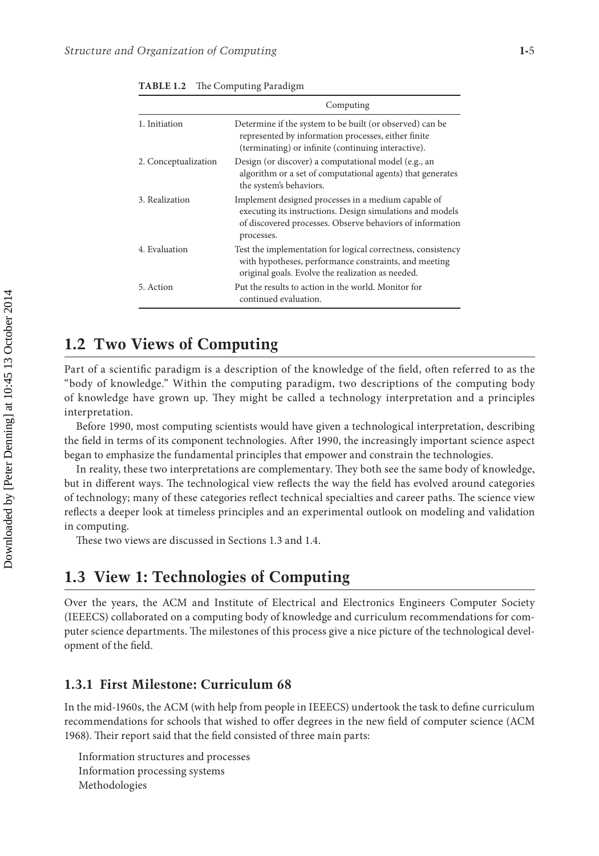|                      | Computing                                                                                                                                                                                   |
|----------------------|---------------------------------------------------------------------------------------------------------------------------------------------------------------------------------------------|
| 1. Initiation        | Determine if the system to be built (or observed) can be<br>represented by information processes, either finite<br>(terminating) or infinite (continuing interactive).                      |
| 2. Conceptualization | Design (or discover) a computational model (e.g., an<br>algorithm or a set of computational agents) that generates<br>the system's behaviors.                                               |
| 3. Realization       | Implement designed processes in a medium capable of<br>executing its instructions. Design simulations and models<br>of discovered processes. Observe behaviors of information<br>processes. |
| 4. Evaluation        | Test the implementation for logical correctness, consistency<br>with hypotheses, performance constraints, and meeting<br>original goals. Evolve the realization as needed.                  |
| 5. Action            | Put the results to action in the world. Monitor for<br>continued evaluation.                                                                                                                |

<span id="page-4-0"></span>**TABLE 1.2** The Computing Paradigm

# **1.2 Two Views of Computing**

Part of a scientific paradigm is a description of the knowledge of the field, often referred to as the "body of knowledge." Within the computing paradigm, two descriptions of the computing body of knowledge have grown up. They might be called a technology interpretation and a principles interpretation.

Before 1990, most computing scientists would have given a technological interpretation, describing the field in terms of its component technologies. After 1990, the increasingly important science aspect began to emphasize the fundamental principles that empower and constrain the technologies.

In reality, these two interpretations are complementary. They both see the same body of knowledge, but in different ways. The technological view reflects the way the field has evolved around categories of technology; many of these categories reflect technical specialties and career paths. The science view reflects a deeper look at timeless principles and an experimental outlook on modeling and validation in computing.

These two views are discussed in Sections 1.3 and 1.4.

## **1.3 View 1: Technologies of Computing**

Over the years, the ACM and Institute of Electrical and Electronics Engineers Computer Society (IEEECS) collaborated on a computing body of knowledge and curriculum recommendations for computer science departments. The milestones of this process give a nice picture of the technological development of the field.

#### **1.3.1 First Milestone: Curriculum 68**

In the mid-1960s, the ACM (with help from people in IEEECS) undertook the task to define curriculum recommendations for schools that wished to offer degrees in the new field of computer science (ACM 1968). Their report said that the field consisted of three main parts:

```
Information structures and processes
Information processing systems
Methodologies
```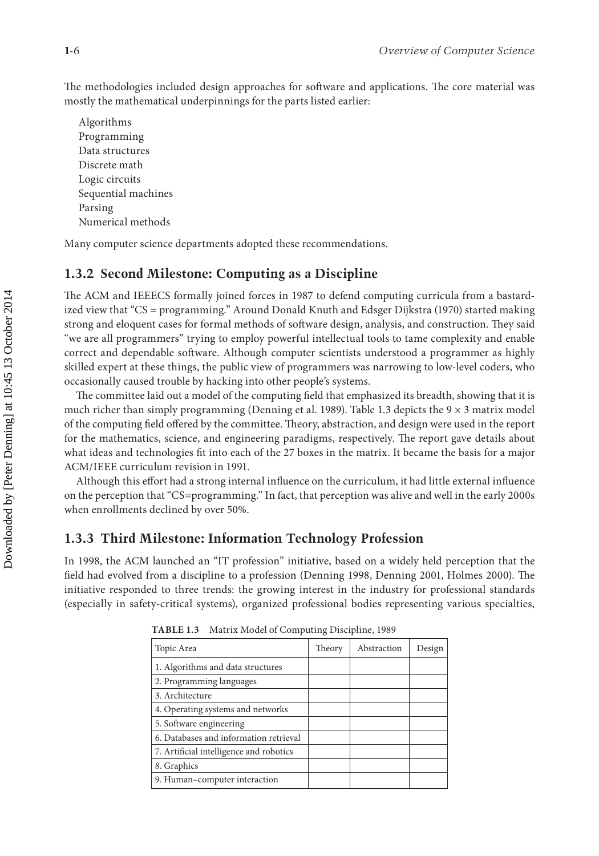The methodologies included design approaches for software and applications. The core material was mostly the mathematical underpinnings for the parts listed earlier:

Algorithms Programming Data structures Discrete math Logic circuits Sequential machines Parsing Numerical methods

Many computer science departments adopted these recommendations.

#### **1.3.2 Second Milestone: Computing as a Discipline**

The ACM and IEEECS formally joined forces in 1987 to defend computing curricula from a bastardized view that "CS = programming." Around Donald Knuth and Edsger Dijkstra (1970) started making strong and eloquent cases for formal methods of software design, analysis, and construction. They said "we are all programmers" trying to employ powerful intellectual tools to tame complexity and enable correct and dependable software. Although computer scientists understood a programmer as highly skilled expert at these things, the public view of programmers was narrowing to low-level coders, who occasionally caused trouble by hacking into other people's systems.

The committee laid out a model of the computing field that emphasized its breadth, showing that it is much richer than simply programming (Denning et al. 1989). Table 1.3 depicts the  $9 \times 3$  matrix model of the computing field offered by the committee. Theory, abstraction, and design were used in the report for the mathematics, science, and engineering paradigms, respectively. The report gave details about what ideas and technologies fit into each of the 27 boxes in the matrix. It became the basis for a major ACM/IEEE curriculum revision in 1991.

Although this effort had a strong internal influence on the curriculum, it had little external influence on the perception that "CS=programming." In fact, that perception was alive and well in the early 2000s when enrollments declined by over 50%.

#### **1.3.3 Third Milestone: Information Technology Profession**

In 1998, the ACM launched an "IT profession" initiative, based on a widely held perception that the field had evolved from a discipline to a profession (Denning 1998, Denning 2001, Holmes 2000). The initiative responded to three trends: the growing interest in the industry for professional standards (especially in safety-critical systems), organized professional bodies representing various specialties,

| Topic Area                              | Theory | Abstraction | Design |
|-----------------------------------------|--------|-------------|--------|
| 1. Algorithms and data structures       |        |             |        |
| 2. Programming languages                |        |             |        |
| 3. Architecture                         |        |             |        |
| 4. Operating systems and networks       |        |             |        |
| 5. Software engineering                 |        |             |        |
| 6. Databases and information retrieval  |        |             |        |
| 7. Artificial intelligence and robotics |        |             |        |
| 8. Graphics                             |        |             |        |
| 9. Human-computer interaction           |        |             |        |

**TABLE 1.3** Matrix Model of Computing Discipline, 1989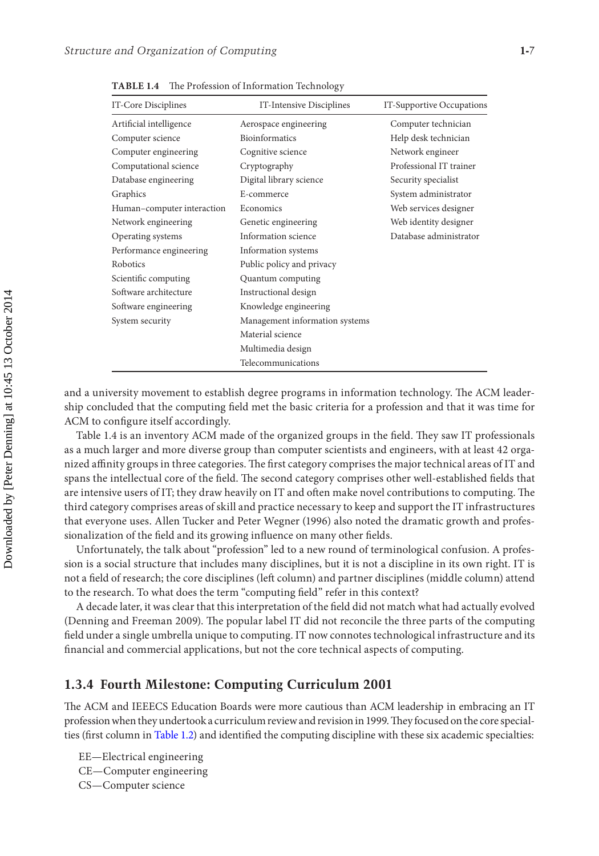| IT-Core Disciplines        | IT-Intensive Disciplines       | IT-Supportive Occupations |  |
|----------------------------|--------------------------------|---------------------------|--|
| Artificial intelligence    | Aerospace engineering          | Computer technician       |  |
| Computer science           | <b>Bioinformatics</b>          | Help desk technician      |  |
| Computer engineering       | Cognitive science              | Network engineer          |  |
| Computational science      | Cryptography                   | Professional IT trainer   |  |
| Database engineering       | Digital library science        | Security specialist       |  |
| Graphics                   | E-commerce                     | System administrator      |  |
| Human-computer interaction | Economics                      | Web services designer     |  |
| Network engineering        | Genetic engineering            | Web identity designer     |  |
| Operating systems          | Information science            | Database administrator    |  |
| Performance engineering    | Information systems            |                           |  |
| Robotics                   | Public policy and privacy      |                           |  |
| Scientific computing       | Quantum computing              |                           |  |
| Software architecture      | Instructional design           |                           |  |
| Software engineering       | Knowledge engineering          |                           |  |
| System security            | Management information systems |                           |  |
|                            | Material science               |                           |  |
|                            | Multimedia design              |                           |  |
|                            | Telecommunications             |                           |  |

**TABLE 1.4** The Profession of Information Technology

and a university movement to establish degree programs in information technology. The ACM leadership concluded that the computing field met the basic criteria for a profession and that it was time for ACM to configure itself accordingly.

Table 1.4 is an inventory ACM made of the organized groups in the field. They saw IT professionals as a much larger and more diverse group than computer scientists and engineers, with at least 42 organized affinity groups in three categories. The first category comprises the major technical areas of IT and spans the intellectual core of the field. The second category comprises other well-established fields that are intensive users of IT; they draw heavily on IT and often make novel contributions to computing. The third category comprises areas of skill and practice necessary to keep and support the IT infrastructures that everyone uses. Allen Tucker and Peter Wegner (1996) also noted the dramatic growth and professionalization of the field and its growing influence on many other fields.

Unfortunately, the talk about "profession" led to a new round of terminological confusion. A profession is a social structure that includes many disciplines, but it is not a discipline in its own right. IT is not a field of research; the core disciplines (left column) and partner disciplines (middle column) attend to the research. To what does the term "computing field" refer in this context?

A decade later, it was clear that this interpretation of the field did not match what had actually evolved (Denning and Freeman 2009). The popular label IT did not reconcile the three parts of the computing field under a single umbrella unique to computing. IT now connotes technological infrastructure and its financial and commercial applications, but not the core technical aspects of computing.

#### **1.3.4 Fourth Milestone: Computing Curriculum 2001**

The ACM and IEEECS Education Boards were more cautious than ACM leadership in embracing an IT profession when they undertook a curriculum review and revision in 1999. They focused on the core specialties (first column in [Table 1.2\)](#page-4-0) and identified the computing discipline with these six academic specialties:

EE—Electrical engineering

- CE—Computer engineering
- CS—Computer science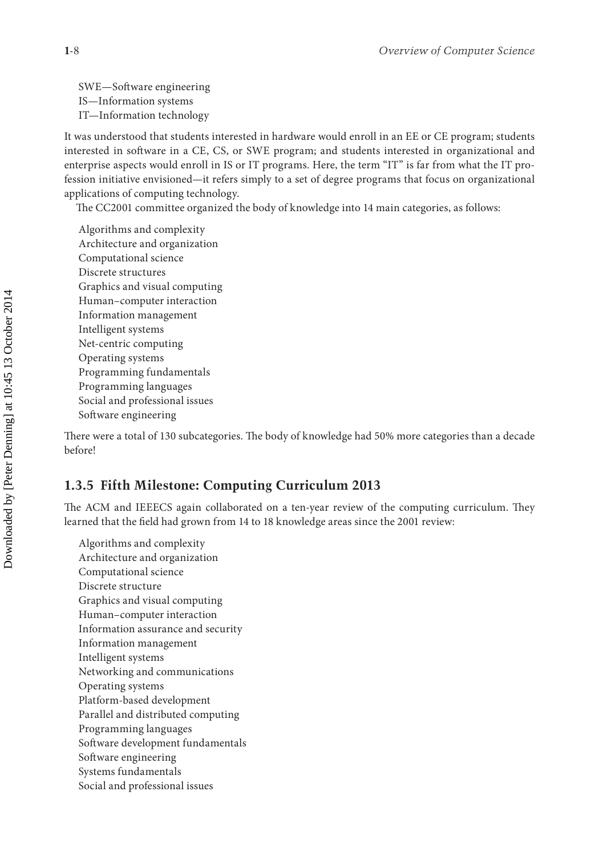SWE—Software engineering IS—Information systems IT—Information technology

It was understood that students interested in hardware would enroll in an EE or CE program; students interested in software in a CE, CS, or SWE program; and students interested in organizational and enterprise aspects would enroll in IS or IT programs. Here, the term "IT" is far from what the IT profession initiative envisioned—it refers simply to a set of degree programs that focus on organizational applications of computing technology.

The CC2001 committee organized the body of knowledge into 14 main categories, as follows:

Algorithms and complexity Architecture and organization Computational science Discrete structures Graphics and visual computing Human–computer interaction Information management Intelligent systems Net-centric computing Operating systems Programming fundamentals Programming languages Social and professional issues Software engineering

There were a total of 130 subcategories. The body of knowledge had 50% more categories than a decade before!

## **1.3.5 Fifth Milestone: Computing Curriculum 2013**

The ACM and IEEECS again collaborated on a ten-year review of the computing curriculum. They learned that the field had grown from 14 to 18 knowledge areas since the 2001 review:

Algorithms and complexity Architecture and organization Computational science Discrete structure Graphics and visual computing Human–computer interaction Information assurance and security Information management Intelligent systems Networking and communications Operating systems Platform-based development Parallel and distributed computing Programming languages Software development fundamentals Software engineering Systems fundamentals Social and professional issues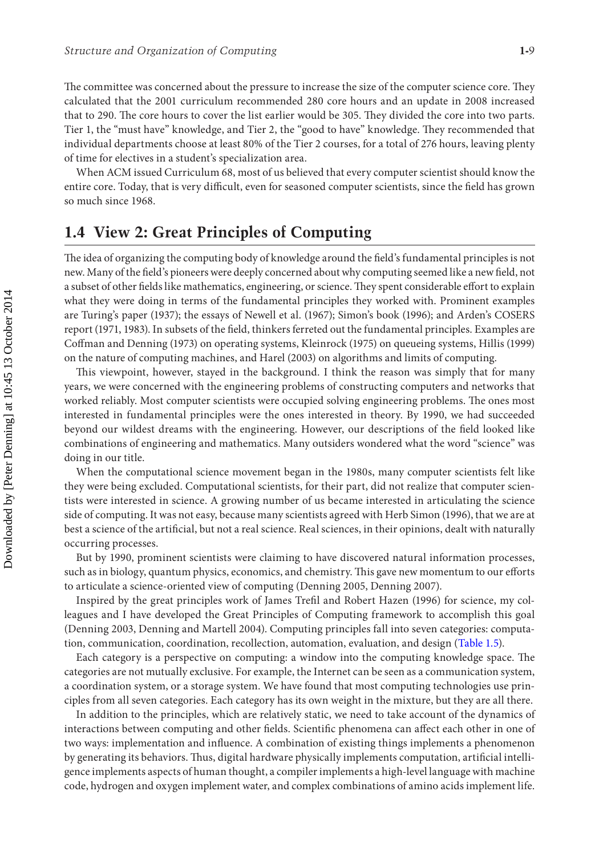The committee was concerned about the pressure to increase the size of the computer science core. They calculated that the 2001 curriculum recommended 280 core hours and an update in 2008 increased that to 290. The core hours to cover the list earlier would be 305. They divided the core into two parts. Tier 1, the "must have" knowledge, and Tier 2, the "good to have" knowledge. They recommended that individual departments choose at least 80% of the Tier 2 courses, for a total of 276 hours, leaving plenty of time for electives in a student's specialization area.

When ACM issued Curriculum 68, most of us believed that every computer scientist should know the entire core. Today, that is very difficult, even for seasoned computer scientists, since the field has grown so much since 1968.

# **1.4 View 2: Great Principles of Computing**

The idea of organizing the computing body of knowledge around the field's fundamental principles is not new. Many of the field's pioneers were deeply concerned about why computing seemed like a new field, not a subset of other fields like mathematics, engineering, or science. They spent considerable effort to explain what they were doing in terms of the fundamental principles they worked with. Prominent examples are Turing's paper (1937); the essays of Newell et al. (1967); Simon's book (1996); and Arden's COSERS report (1971, 1983). In subsets of the field, thinkers ferreted out the fundamental principles. Examples are Coffman and Denning (1973) on operating systems, Kleinrock (1975) on queueing systems, Hillis (1999) on the nature of computing machines, and Harel (2003) on algorithms and limits of computing.

This viewpoint, however, stayed in the background. I think the reason was simply that for many years, we were concerned with the engineering problems of constructing computers and networks that worked reliably. Most computer scientists were occupied solving engineering problems. The ones most interested in fundamental principles were the ones interested in theory. By 1990, we had succeeded beyond our wildest dreams with the engineering. However, our descriptions of the field looked like combinations of engineering and mathematics. Many outsiders wondered what the word "science" was doing in our title.

When the computational science movement began in the 1980s, many computer scientists felt like they were being excluded. Computational scientists, for their part, did not realize that computer scientists were interested in science. A growing number of us became interested in articulating the science side of computing. It was not easy, because many scientists agreed with Herb Simon (1996), that we are at best a science of the artificial, but not a real science. Real sciences, in their opinions, dealt with naturally occurring processes.

But by 1990, prominent scientists were claiming to have discovered natural information processes, such as in biology, quantum physics, economics, and chemistry. This gave new momentum to our efforts to articulate a science-oriented view of computing (Denning 2005, Denning 2007).

Inspired by the great principles work of James Trefil and Robert Hazen (1996) for science, my colleagues and I have developed the Great Principles of Computing framework to accomplish this goal (Denning 2003, Denning and Martell 2004). Computing principles fall into seven categories: computation, communication, coordination, recollection, automation, evaluation, and design ([Table 1.5](#page-9-0)).

Each category is a perspective on computing: a window into the computing knowledge space. The categories are not mutually exclusive. For example, the Internet can be seen as a communication system, a coordination system, or a storage system. We have found that most computing technologies use principles from all seven categories. Each category has its own weight in the mixture, but they are all there.

In addition to the principles, which are relatively static, we need to take account of the dynamics of interactions between computing and other fields. Scientific phenomena can affect each other in one of two ways: implementation and influence. A combination of existing things implements a phenomenon by generating its behaviors. Thus, digital hardware physically implements computation, artificial intelligence implements aspects of human thought, a compiler implements a high-level language with machine code, hydrogen and oxygen implement water, and complex combinations of amino acids implement life.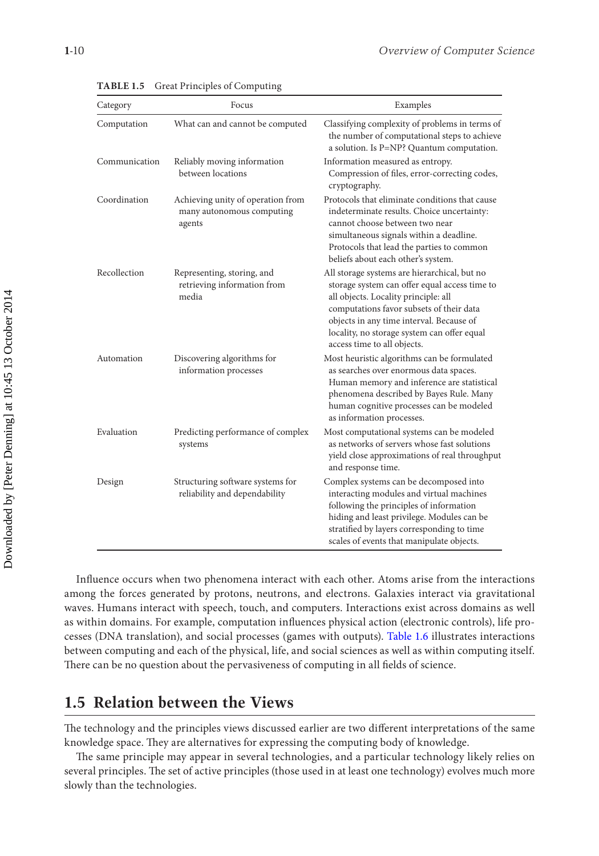| Category      | Focus                                                                    | Examples                                                                                                                                                                                                                                                                                                    |
|---------------|--------------------------------------------------------------------------|-------------------------------------------------------------------------------------------------------------------------------------------------------------------------------------------------------------------------------------------------------------------------------------------------------------|
| Computation   | What can and cannot be computed                                          | Classifying complexity of problems in terms of<br>the number of computational steps to achieve<br>a solution. Is P=NP? Quantum computation.                                                                                                                                                                 |
| Communication | Reliably moving information<br>between locations                         | Information measured as entropy.<br>Compression of files, error-correcting codes,<br>cryptography.                                                                                                                                                                                                          |
| Coordination  | Achieving unity of operation from<br>many autonomous computing<br>agents | Protocols that eliminate conditions that cause<br>indeterminate results. Choice uncertainty:<br>cannot choose between two near<br>simultaneous signals within a deadline.<br>Protocols that lead the parties to common<br>beliefs about each other's system.                                                |
| Recollection  | Representing, storing, and<br>retrieving information from<br>media       | All storage systems are hierarchical, but no<br>storage system can offer equal access time to<br>all objects. Locality principle: all<br>computations favor subsets of their data<br>objects in any time interval. Because of<br>locality, no storage system can offer equal<br>access time to all objects. |
| Automation    | Discovering algorithms for<br>information processes                      | Most heuristic algorithms can be formulated<br>as searches over enormous data spaces.<br>Human memory and inference are statistical<br>phenomena described by Bayes Rule. Many<br>human cognitive processes can be modeled<br>as information processes.                                                     |
| Evaluation    | Predicting performance of complex<br>systems                             | Most computational systems can be modeled<br>as networks of servers whose fast solutions<br>yield close approximations of real throughput<br>and response time.                                                                                                                                             |
| Design        | Structuring software systems for<br>reliability and dependability        | Complex systems can be decomposed into<br>interacting modules and virtual machines<br>following the principles of information<br>hiding and least privilege. Modules can be<br>stratified by layers corresponding to time<br>scales of events that manipulate objects.                                      |

<span id="page-9-0"></span>**TABLE 1.5** Great Principles of Computing

Influence occurs when two phenomena interact with each other. Atoms arise from the interactions among the forces generated by protons, neutrons, and electrons. Galaxies interact via gravitational waves. Humans interact with speech, touch, and computers. Interactions exist across domains as well as within domains. For example, computation influences physical action (electronic controls), life processes (DNA translation), and social processes (games with outputs). [Table 1.6](#page-10-0) illustrates interactions between computing and each of the physical, life, and social sciences as well as within computing itself. There can be no question about the pervasiveness of computing in all fields of science.

## **1.5 Relation between the Views**

The technology and the principles views discussed earlier are two different interpretations of the same knowledge space. They are alternatives for expressing the computing body of knowledge.

The same principle may appear in several technologies, and a particular technology likely relies on several principles. The set of active principles (those used in at least one technology) evolves much more slowly than the technologies.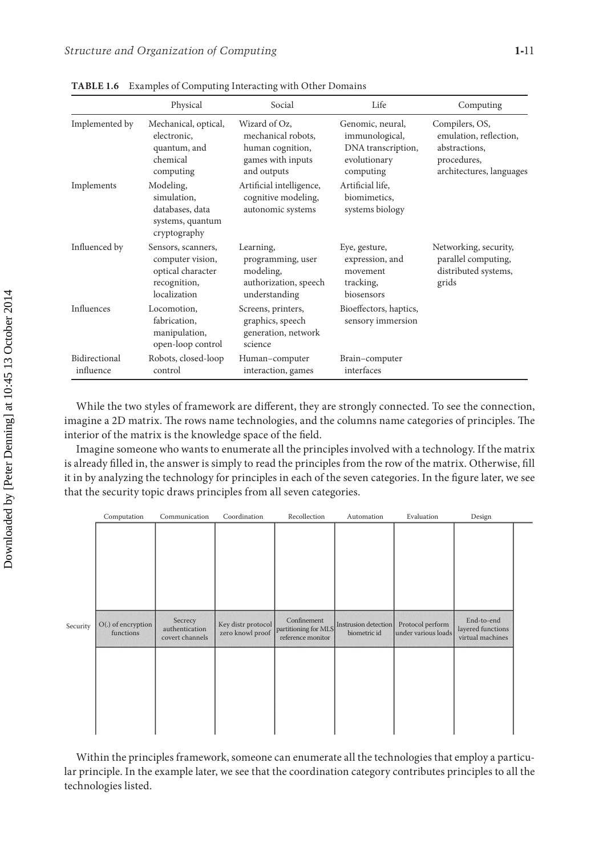|                            | Physical                                                                                    | Social                                                                                      | Life                                                                                  | Computing                                                                                            |
|----------------------------|---------------------------------------------------------------------------------------------|---------------------------------------------------------------------------------------------|---------------------------------------------------------------------------------------|------------------------------------------------------------------------------------------------------|
| Implemented by             | Mechanical, optical,<br>electronic.<br>quantum, and<br>chemical<br>computing                | Wizard of Oz.<br>mechanical robots,<br>human cognition,<br>games with inputs<br>and outputs | Genomic, neural,<br>immunological,<br>DNA transcription,<br>evolutionary<br>computing | Compilers, OS,<br>emulation, reflection,<br>abstractions.<br>procedures,<br>architectures, languages |
| Implements                 | Modeling,<br>simulation.<br>databases, data<br>systems, quantum<br>cryptography             | Artificial intelligence,<br>cognitive modeling,<br>autonomic systems                        | Artificial life,<br>biomimetics,<br>systems biology                                   |                                                                                                      |
| Influenced by              | Sensors, scanners,<br>computer vision,<br>optical character<br>recognition,<br>localization | Learning,<br>programming, user<br>modeling,<br>authorization, speech<br>understanding       | Eye, gesture,<br>expression, and<br>movement<br>tracking,<br>biosensors               | Networking, security,<br>parallel computing,<br>distributed systems,<br>grids                        |
| Influences                 | Locomotion.<br>fabrication.<br>manipulation,<br>open-loop control                           | Screens, printers,<br>graphics, speech<br>generation, network<br>science                    | Bioeffectors, haptics,<br>sensory immersion                                           |                                                                                                      |
| Bidirectional<br>influence | Robots, closed-loop<br>control                                                              | Human-computer<br>interaction, games                                                        | Brain-computer<br>interfaces                                                          |                                                                                                      |

<span id="page-10-0"></span>**TABLE 1.6** Examples of Computing Interacting with Other Domains

While the two styles of framework are different, they are strongly connected. To see the connection, imagine a 2D matrix. The rows name technologies, and the columns name categories of principles. The interior of the matrix is the knowledge space of the field.

Imagine someone who wants to enumerate all the principles involved with a technology. If the matrix is already filled in, the answer is simply to read the principles from the row of the matrix. Otherwise, fill it in by analyzing the technology for principles in each of the seven categories. In the figure later, we see that the security topic draws principles from all seven categories.

|          | Computation                     | Communication             | Coordination                           | Recollection                        | Automation                           | Evaluation                              | Design                          |  |
|----------|---------------------------------|---------------------------|----------------------------------------|-------------------------------------|--------------------------------------|-----------------------------------------|---------------------------------|--|
| Security | O(.) of encryption<br>functions | Secrecy<br>authentication | Key distr protocol<br>zero knowl proof | Confinement<br>partitioning for MLS | Instrusion detection<br>biometric id | Protocol perform<br>under various loads | End-to-end<br>layered functions |  |
|          |                                 | covert channels           |                                        | reference monitor                   |                                      |                                         | virtual machines                |  |

Within the principles framework, someone can enumerate all the technologies that employ a particular principle. In the example later, we see that the coordination category contributes principles to all the technologies listed.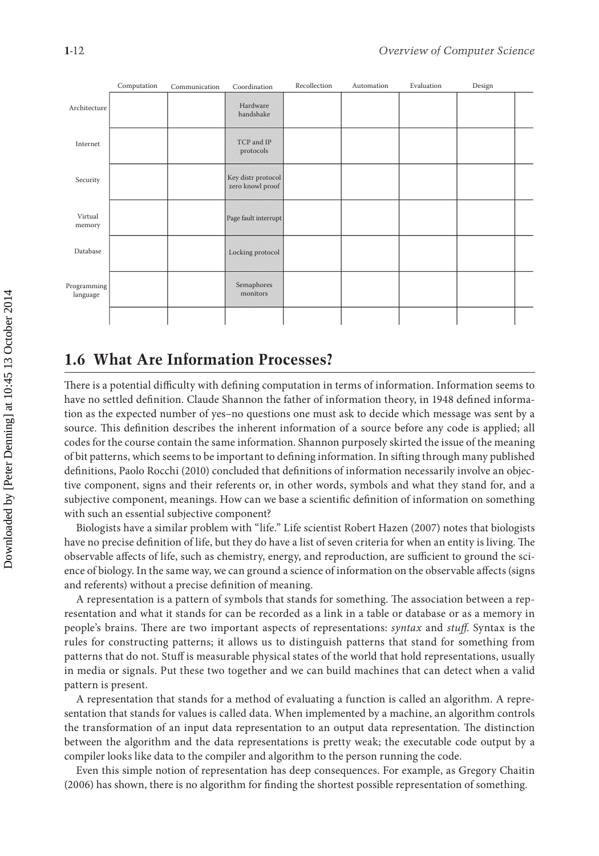

# **1.6 What Are Information Processes?**

There is a potential difficulty with defining computation in terms of information. Information seems to have no settled definition. Claude Shannon the father of information theory, in 1948 defined information as the expected number of yes–no questions one must ask to decide which message was sent by a source. This definition describes the inherent information of a source before any code is applied; all codes for the course contain the same information. Shannon purposely skirted the issue of the meaning of bit patterns, which seems to be important to defining information. In sifting through many published definitions, Paolo Rocchi (2010) concluded that definitions of information necessarily involve an objective component, signs and their referents or, in other words, symbols and what they stand for, and a subjective component, meanings. How can we base a scientific definition of information on something with such an essential subjective component?

Biologists have a similar problem with "life." Life scientist Robert Hazen (2007) notes that biologists have no precise definition of life, but they do have a list of seven criteria for when an entity is living. The observable affects of life, such as chemistry, energy, and reproduction, are sufficient to ground the science of biology. In the same way, we can ground a science of information on the observable affects (signs and referents) without a precise definition of meaning.

A representation is a pattern of symbols that stands for something. The association between a representation and what it stands for can be recorded as a link in a table or database or as a memory in people's brains. There are two important aspects of representations: *syntax* and *stuff*. Syntax is the rules for constructing patterns; it allows us to distinguish patterns that stand for something from patterns that do not. Stuff is measurable physical states of the world that hold representations, usually in media or signals. Put these two together and we can build machines that can detect when a valid pattern is present.

A representation that stands for a method of evaluating a function is called an algorithm. A representation that stands for values is called data. When implemented by a machine, an algorithm controls the transformation of an input data representation to an output data representation. The distinction between the algorithm and the data representations is pretty weak; the executable code output by a compiler looks like data to the compiler and algorithm to the person running the code.

Even this simple notion of representation has deep consequences. For example, as Gregory Chaitin (2006) has shown, there is no algorithm for finding the shortest possible representation of something.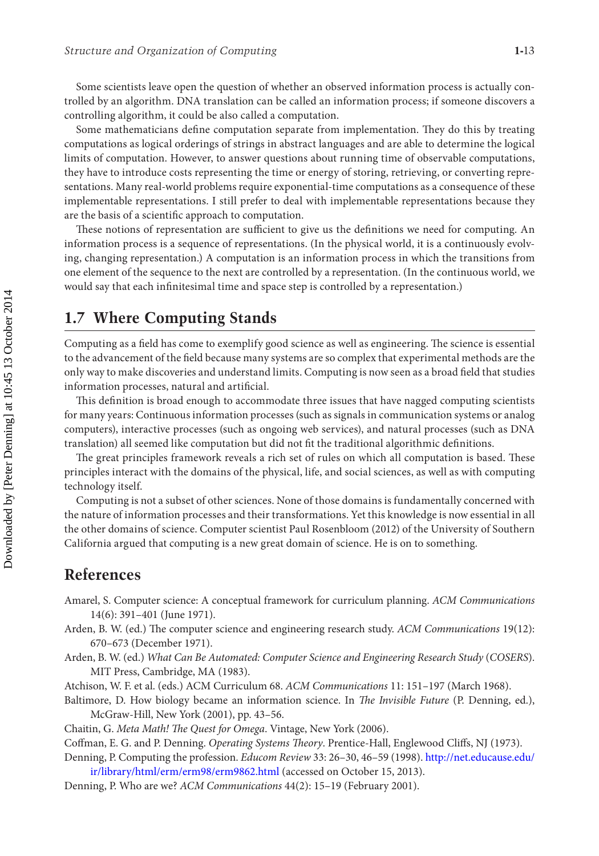Some scientists leave open the question of whether an observed information process is actually controlled by an algorithm. DNA translation can be called an information process; if someone discovers a controlling algorithm, it could be also called a computation.

Some mathematicians define computation separate from implementation. They do this by treating computations as logical orderings of strings in abstract languages and are able to determine the logical limits of computation. However, to answer questions about running time of observable computations, they have to introduce costs representing the time or energy of storing, retrieving, or converting representations. Many real-world problems require exponential-time computations as a consequence of these implementable representations. I still prefer to deal with implementable representations because they are the basis of a scientific approach to computation.

These notions of representation are sufficient to give us the definitions we need for computing. An information process is a sequence of representations. (In the physical world, it is a continuously evolving, changing representation.) A computation is an information process in which the transitions from one element of the sequence to the next are controlled by a representation. (In the continuous world, we would say that each infinitesimal time and space step is controlled by a representation.)

# **1.7 Where Computing Stands**

Computing as a field has come to exemplify good science as well as engineering. The science is essential to the advancement of the field because many systems are so complex that experimental methods are the only way to make discoveries and understand limits. Computing is now seen as a broad field that studies information processes, natural and artificial.

This definition is broad enough to accommodate three issues that have nagged computing scientists for many years: Continuous information processes (such as signals in communication systems or analog computers), interactive processes (such as ongoing web services), and natural processes (such as DNA translation) all seemed like computation but did not fit the traditional algorithmic definitions.

The great principles framework reveals a rich set of rules on which all computation is based. These principles interact with the domains of the physical, life, and social sciences, as well as with computing technology itself.

Computing is not a subset of other sciences. None of those domains is fundamentally concerned with the nature of information processes and their transformations. Yet this knowledge is now essential in all the other domains of science. Computer scientist Paul Rosenbloom (2012) of the University of Southern California argued that computing is a new great domain of science. He is on to something.

## **References**

Amarel, S. Computer science: A conceptual framework for curriculum planning. *ACM Communications* 14(6): 391–401 (June 1971).

- Arden, B. W. (ed.) The computer science and engineering research study. *ACM Communications* 19(12): 670–673 (December 1971).
- Arden, B. W. (ed.) *What Can Be Automated: Computer Science and Engineering Research Study* (*COSERS*). MIT Press, Cambridge, MA (1983).

Atchison, W. F. et al. (eds.) ACM Curriculum 68. *ACM Communications* 11: 151–197 (March 1968).

Baltimore, D. How biology became an information science. In *The Invisible Future* (P. Denning, ed.), McGraw-Hill, New York (2001), pp. 43–56.

Chaitin, G. *Meta Math! The Quest for Omega*. Vintage, New York (2006).

Coffman, E. G. and P. Denning. *Operating Systems Theory*. Prentice-Hall, Englewood Cliffs, NJ (1973).

Denning, P. Computing the profession. *Educom Review* 33: 26–30, 46–59 (1998). [http://net.educause.edu/](http://net.educause.edu) [ir/library/html/erm/erm98/erm9862.html](http://net.educause.edu) (accessed on October 15, 2013).

Denning, P. Who are we? *ACM Communications* 44(2): 15–19 (February 2001).